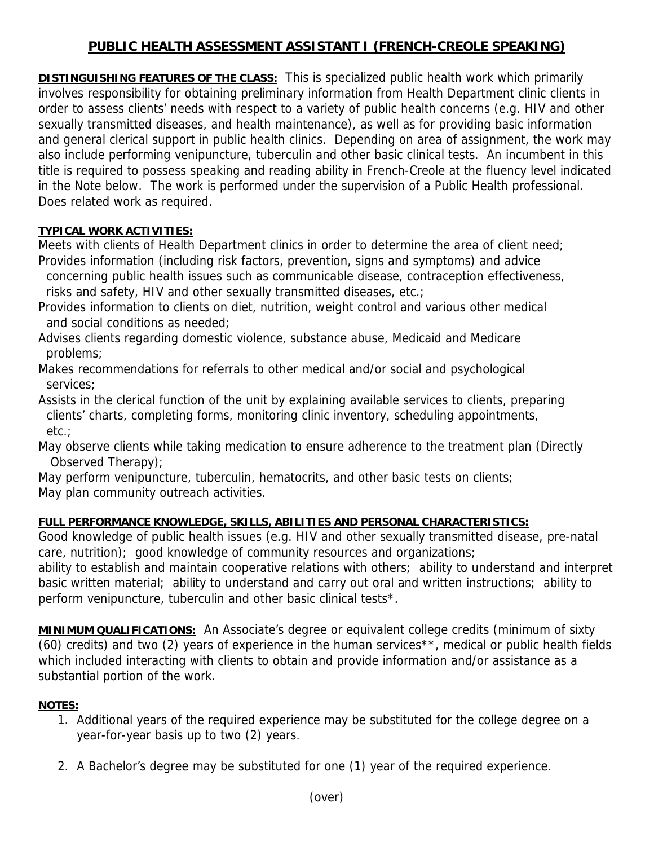## **PUBLIC HEALTH ASSESSMENT ASSISTANT I (FRENCH-CREOLE SPEAKING)**

**DISTINGUISHING FEATURES OF THE CLASS:** This is specialized public health work which primarily involves responsibility for obtaining preliminary information from Health Department clinic clients in order to assess clients' needs with respect to a variety of public health concerns (e.g. HIV and other sexually transmitted diseases, and health maintenance), as well as for providing basic information and general clerical support in public health clinics. Depending on area of assignment, the work may also include performing venipuncture, tuberculin and other basic clinical tests. An incumbent in this title is required to possess speaking and reading ability in French-Creole at the fluency level indicated in the Note below. The work is performed under the supervision of a Public Health professional. Does related work as required.

## **TYPICAL WORK ACTIVITIES:**

Meets with clients of Health Department clinics in order to determine the area of client need; Provides information (including risk factors, prevention, signs and symptoms) and advice

 concerning public health issues such as communicable disease, contraception effectiveness, risks and safety, HIV and other sexually transmitted diseases, etc.;

- Provides information to clients on diet, nutrition, weight control and various other medical and social conditions as needed;
- Advises clients regarding domestic violence, substance abuse, Medicaid and Medicare problems;
- Makes recommendations for referrals to other medical and/or social and psychological services;

Assists in the clerical function of the unit by explaining available services to clients, preparing clients' charts, completing forms, monitoring clinic inventory, scheduling appointments, etc.;

May observe clients while taking medication to ensure adherence to the treatment plan (Directly Observed Therapy);

May perform venipuncture, tuberculin, hematocrits, and other basic tests on clients; May plan community outreach activities.

## **FULL PERFORMANCE KNOWLEDGE, SKILLS, ABILITIES AND PERSONAL CHARACTERISTICS:**

Good knowledge of public health issues (e.g. HIV and other sexually transmitted disease, pre-natal care, nutrition); good knowledge of community resources and organizations;

ability to establish and maintain cooperative relations with others; ability to understand and interpret basic written material; ability to understand and carry out oral and written instructions; ability to perform venipuncture, tuberculin and other basic clinical tests\*.

**MINIMUM QUALIFICATIONS:** An Associate's degree or equivalent college credits (minimum of sixty (60) credits) and two (2) years of experience in the human services<sup>\*\*</sup>, medical or public health fields which included interacting with clients to obtain and provide information and/or assistance as a substantial portion of the work.

## **NOTES:**

- 1. Additional years of the required experience may be substituted for the college degree on a year-for-year basis up to two (2) years.
- 2. A Bachelor's degree may be substituted for one (1) year of the required experience.